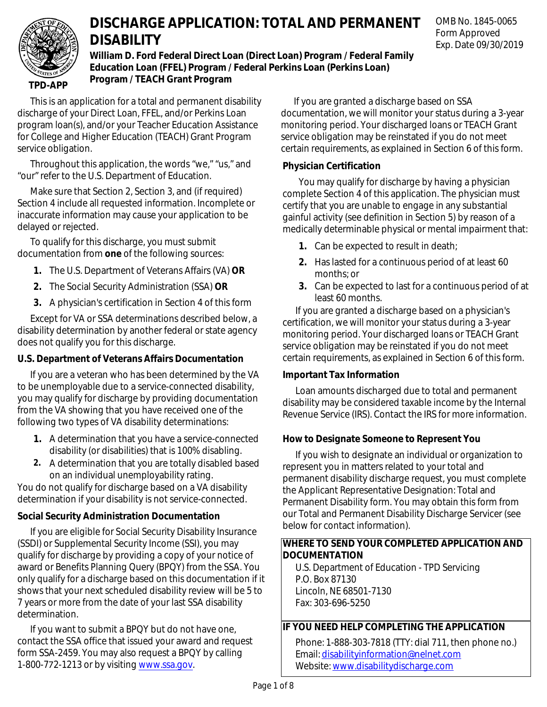

# **DISCHARGE APPLICATION: TOTAL AND PERMANENT DISABILITY**

**William D. Ford Federal Direct Loan (Direct Loan) Program / Federal Family Education Loan (FFEL) Program / Federal Perkins Loan (Perkins Loan) Program / TEACH Grant Program**

**TPD-APP**

This is an application for a total and permanent disability discharge of your Direct Loan, FFEL, and/or Perkins Loan program loan(s), and/or your Teacher Education Assistance for College and Higher Education (TEACH) Grant Program service obligation.

Throughout this application, the words "we," "us," and "our" refer to the U.S. Department of Education.

Make sure that Section 2, Section 3, and (if required) Section 4 include all requested information. Incomplete or inaccurate information may cause your application to be delayed or rejected.

To qualify for this discharge, you must submit documentation from **one** of the following sources:

- **1.** The U.S. Department of Veterans Affairs (VA) **OR**
- **2.** The Social Security Administration (SSA) **OR**
- **3.** A physician's certification in Section 4 of this form

Except for VA or SSA determinations described below, a disability determination by another federal or state agency does not qualify you for this discharge.

## **U.S. Department of Veterans Affairs Documentation**

If you are a veteran who has been determined by the VA to be unemployable due to a service-connected disability, you may qualify for discharge by providing documentation from the VA showing that you have received one of the following two types of VA disability determinations:

- **1.** A determination that you have a service-connected disability (or disabilities) that is 100% disabling.
- **2.** A determination that you are totally disabled based on an individual unemployability rating.

You do not qualify for discharge based on a VA disability determination if your disability is not service-connected.

## **Social Security Administration Documentation**

If you are eligible for Social Security Disability Insurance (SSDI) or Supplemental Security Income (SSI), you may qualify for discharge by providing a copy of your notice of award or Benefits Planning Query (BPQY) from the SSA. You only qualify for a discharge based on this documentation if it shows that your next scheduled disability review will be 5 to 7 years or more from the date of your last SSA disability determination.

If you want to submit a BPQY but do not have one, contact the SSA office that issued your award and request form SSA-2459. You may also request a BPQY by calling 1-800-772-1213 or by visiting [www.ssa.gov.](https://www.ssa.gov)

If you are granted a discharge based on SSA documentation, we will monitor your status during a 3-year monitoring period. Your discharged loans or TEACH Grant service obligation may be reinstated if you do not meet certain requirements, as explained in Section 6 of this form.

## **Physician Certification**

You may qualify for discharge by having a physician complete Section 4 of this application. The physician must certify that you are unable to engage in any substantial gainful activity (see definition in Section 5) by reason of a medically determinable physical or mental impairment that:

- **1.** Can be expected to result in death;
- **2.** Has lasted for a continuous period of at least 60 months; or
- **3.** Can be expected to last for a continuous period of at least 60 months.

If you are granted a discharge based on a physician's certification, we will monitor your status during a 3-year monitoring period. Your discharged loans or TEACH Grant service obligation may be reinstated if you do not meet certain requirements, as explained in Section 6 of this form.

## **Important Tax Information**

Loan amounts discharged due to total and permanent disability may be considered taxable income by the Internal Revenue Service (IRS). Contact the IRS for more information.

## **How to Designate Someone to Represent You**

If you wish to designate an individual or organization to represent you in matters related to your total and permanent disability discharge request, you must complete the Applicant Representative Designation: Total and Permanent Disability form. You may obtain this form from our Total and Permanent Disability Discharge Servicer (see below for contact information).

## **WHERE TO SEND YOUR COMPLETED APPLICATION AND DOCUMENTATION**

U.S. Department of Education - TPD Servicing P.O. Box 87130 Lincoln, NE 68501-7130 Fax: 303-696-5250

## **IF YOU NEED HELP COMPLETING THE APPLICATION**

Phone: 1-888-303-7818 (TTY: dial 711, then phone no.) Email: [disabilityinformation@nelnet.com](mailto:disabilityinformation@nelnet.com?subject=Help%20completing%20TPD%20application) Website: [www.disabilitydischarge.com](https://www.disabilitydischarge.com/)

OMB No. 1845-0065 Form Approved Exp. Date 09/30/2019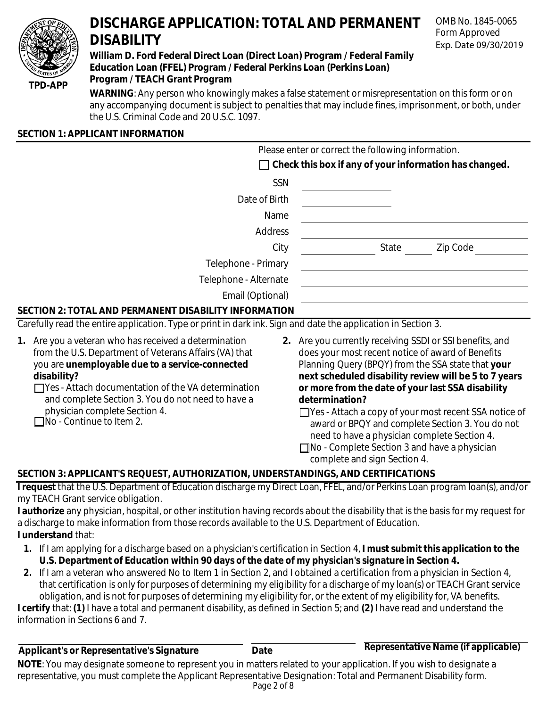

# **DISCHARGE APPLICATION: TOTAL AND PERMANENT DISABILITY**

## **William D. Ford Federal Direct Loan (Direct Loan) Program / Federal Family Education Loan (FFEL) Program / Federal Perkins Loan (Perkins Loan) Program / TEACH Grant Program**

OMB No. 1845-0065 Form Approved Exp. Date 09/30/2019

**WARNING**: Any person who knowingly makes a false statement or misrepresentation on this form or on any accompanying document is subject to penalties that may include fines, imprisonment, or both, under the U.S. Criminal Code and 20 U.S.C. 1097.

## **SECTION 1: APPLICANT INFORMATION**

|                                                       | Please enter or correct the following information.            |          |
|-------------------------------------------------------|---------------------------------------------------------------|----------|
|                                                       | $\Box$ Check this box if any of your information has changed. |          |
| SSN                                                   |                                                               |          |
| Date of Birth                                         |                                                               |          |
| Name                                                  |                                                               |          |
| Address                                               |                                                               |          |
| City                                                  | State                                                         | Zip Code |
| Telephone - Primary                                   |                                                               |          |
| Telephone - Alternate                                 |                                                               |          |
| Email (Optional)                                      |                                                               |          |
| SECTION 2: TOTAL AND PERMANENT DISABILITY INFORMATION |                                                               |          |

Carefully read the entire application. Type or print in dark ink. Sign and date the application in Section 3.

- **1.** Are you a veteran who has received a determination from the U.S. Department of Veterans Affairs (VA) that you are **unemployable due to a service-connected disability?**
	- Yes Attach documentation of the VA determination and complete Section 3. You do not need to have a physician complete Section 4.  $\Box$ No - Continue to Item 2.
- **2.** Are you currently receiving SSDI or SSI benefits, and does your most recent notice of award of Benefits Planning Query (BPQY) from the SSA state that **your next scheduled disability review will be 5 to 7 years or more from the date of your last SSA disability determination?**

□ Yes - Attach a copy of your most recent SSA notice of award or BPQY and complete Section 3. You do not need to have a physician complete Section 4.

□ No - Complete Section 3 and have a physician complete and sign Section 4.

## **SECTION 3: APPLICANT'S REQUEST, AUTHORIZATION, UNDERSTANDINGS, AND CERTIFICATIONS**

**I request** that the U.S. Department of Education discharge my Direct Loan, FFEL, and/or Perkins Loan program loan(s), and/or my TEACH Grant service obligation.

**I authorize** any physician, hospital, or other institution having records about the disability that is the basis for my request for a discharge to make information from those records available to the U.S. Department of Education.

- **I understand** that:
	- **1.** If I am applying for a discharge based on a physician's certification in Section 4, **I must submit this application to the U.S. Department of Education within 90 days of the date of my physician's signature in Section 4.**
- **2.** If I am a veteran who answered No to Item 1 in Section 2, and I obtained a certification from a physician in Section 4, that certification is only for purposes of determining my eligibility for a discharge of my loan(s) or TEACH Grant service obligation, and is not for purposes of determining my eligibility for, or the extent of my eligibility for, VA benefits.

**I certify** that: **(1)** I have a total and permanent disability, as defined in Section 5; and **(2)** I have read and understand the information in Sections 6 and 7.

| Applicant's or Representative's Signature                                                                                   | Date | Representative Name (if applicable) |
|-----------------------------------------------------------------------------------------------------------------------------|------|-------------------------------------|
| <b>NOTE</b> : You may designate someone to represent you in matters related to your application. If you wish to designate a |      |                                     |
| representative, you must complete the Applicant Representative Designation: Total and Permanent Disability form.            |      |                                     |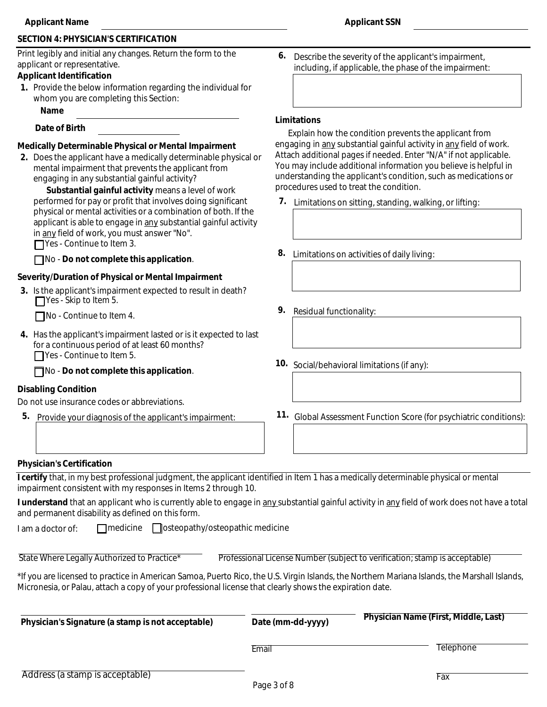## **SECTION 4: PHYSICIAN'S CERTIFICATION**

Print legibly and initial any changes. Return the form to the applicant or representative.

#### **Applicant Identification**

**1.** Provide the below information regarding the individual for whom you are completing this Section:

#### **Name**

#### **Date of Birth**

#### **Medically Determinable Physical or Mental Impairment**

**2.** Does the applicant have a medically determinable physical or mental impairment that prevents the applicant from engaging in any substantial gainful activity?

**Substantial gainful activity** means a level of work performed for pay or profit that involves doing significant physical or mental activities or a combination of both. If the applicant is able to engage in any substantial gainful activity in any field of work, you must answer "No".

■Yes - Continue to Item 3.

No - **Do not complete this application**.

#### **Severity/Duration of Physical or Mental Impairment**

**3.** Is the applicant's impairment expected to result in death? Yes - Skip to Item 5.

 $\Box$ No - Continue to Item 4.

**4.** Has the applicant's impairment lasted or is it expected to last for a continuous period of at least 60 months? ■ Yes - Continue to Item 5.

No - **Do not complete this application**.

#### **Disabling Condition**

Do not use insurance codes or abbreviations.

**5.** Provide your diagnosis of the applicant's impairment:

**6.** Describe the severity of the applicant's impairment, including, if applicable, the phase of the impairment:

#### **Limitations**

Explain how the condition prevents the applicant from engaging in any substantial gainful activity in any field of work. Attach additional pages if needed. Enter "N/A" if not applicable. You may include additional information you believe is helpful in understanding the applicant's condition, such as medications or procedures used to treat the condition.

- **7.** Limitations on sitting, standing, walking, or lifting:
- **8.** Limitations on activities of daily living:
- **9.** Residual functionality:
- **10.** Social/behavioral limitations (if any):
- **11.** Global Assessment Function Score (for psychiatric conditions):

#### **Physician's Certification**

**I certify** that, in my best professional judgment, the applicant identified in Item 1 has a medically determinable physical or mental impairment consistent with my responses in Items 2 through 10.

**I understand** that an applicant who is currently able to engage in any substantial gainful activity in any field of work does not have a total and permanent disability as defined on this form.

| I am a doctor of: | $\Box$ medicine | □ osteopathy/osteopathic medicine |
|-------------------|-----------------|-----------------------------------|
|-------------------|-----------------|-----------------------------------|

State Where Legally Authorized to Practice<sup>\*</sup> Professional License Number (subject to verification; stamp is acceptable)

\*If you are licensed to practice in American Samoa, Puerto Rico, the U.S. Virgin Islands, the Northern Mariana Islands, the Marshall Islands, Micronesia, or Palau, attach a copy of your professional license that clearly shows the expiration date.

| Physician's Signature (a stamp is not acceptable) | Date (mm-dd-yyyy) | Physician Name (First, Middle, Last) |  |
|---------------------------------------------------|-------------------|--------------------------------------|--|
|                                                   | Email             | Telephone                            |  |
| Address (a stamp is acceptable)                   | .                 | Fax                                  |  |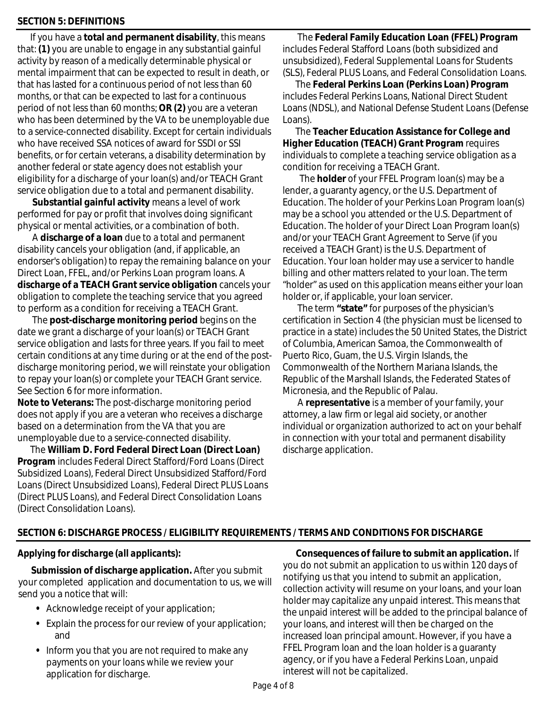## **SECTION 5: DEFINITIONS**

If you have a **total and permanent disability**, this means that: **(1)** you are unable to engage in any substantial gainful activity by reason of a medically determinable physical or mental impairment that can be expected to result in death, or that has lasted for a continuous period of not less than 60 months, or that can be expected to last for a continuous period of not less than 60 months; **OR (2)** you are a veteran who has been determined by the VA to be unemployable due to a service-connected disability. Except for certain individuals who have received SSA notices of award for SSDI or SSI benefits, or for certain veterans, a disability determination by another federal or state agency does not establish your eligibility for a discharge of your loan(s) and/or TEACH Grant service obligation due to a total and permanent disability.

**Substantial gainful activity** means a level of work performed for pay or profit that involves doing significant physical or mental activities, or a combination of both.

 A **discharge of a loan** due to a total and permanent disability cancels your obligation (and, if applicable, an endorser's obligation) to repay the remaining balance on your Direct Loan, FFEL, and/or Perkins Loan program loans. A **discharge of a TEACH Grant service obligation** cancels your obligation to complete the teaching service that you agreed to perform as a condition for receiving a TEACH Grant.

 The **post-discharge monitoring period** begins on the date we grant a discharge of your loan(s) or TEACH Grant service obligation and lasts for three years. If you fail to meet certain conditions at any time during or at the end of the postdischarge monitoring period, we will reinstate your obligation to repay your loan(s) or complete your TEACH Grant service. See Section 6 for more information.

**Note to Veterans:** The post-discharge monitoring period does not apply if you are a veteran who receives a discharge based on a determination from the VA that you are unemployable due to a service-connected disability.

The **William D. Ford Federal Direct Loan (Direct Loan) Program** includes Federal Direct Stafford/Ford Loans (Direct Subsidized Loans), Federal Direct Unsubsidized Stafford/Ford Loans (Direct Unsubsidized Loans), Federal Direct PLUS Loans (Direct PLUS Loans), and Federal Direct Consolidation Loans (Direct Consolidation Loans).

 The **Federal Family Education Loan (FFEL) Program** includes Federal Stafford Loans (both subsidized and unsubsidized), Federal Supplemental Loans for Students (SLS), Federal PLUS Loans, and Federal Consolidation Loans.

The **Federal Perkins Loan (Perkins Loan) Program** includes Federal Perkins Loans, National Direct Student Loans (NDSL), and National Defense Student Loans (Defense Loans).

The **Teacher Education Assistance for College and Higher Education (TEACH) Grant Program** requires individuals to complete a teaching service obligation as a condition for receiving a TEACH Grant.

 The **holder** of your FFEL Program loan(s) may be a lender, a guaranty agency, or the U.S. Department of Education. The holder of your Perkins Loan Program loan(s) may be a school you attended or the U.S. Department of Education. The holder of your Direct Loan Program loan(s) and/or your TEACH Grant Agreement to Serve (if you received a TEACH Grant) is the U.S. Department of Education. Your loan holder may use a servicer to handle billing and other matters related to your loan. The term "holder" as used on this application means either your loan holder or, if applicable, your loan servicer.

 The term **"state"** for purposes of the physician's certification in Section 4 (the physician must be licensed to practice in a state) includes the 50 United States, the District of Columbia, American Samoa, the Commonwealth of Puerto Rico, Guam, the U.S. Virgin Islands, the Commonwealth of the Northern Mariana Islands, the Republic of the Marshall Islands, the Federated States of Micronesia, and the Republic of Palau.

 A **representative** is a member of your family, your attorney, a law firm or legal aid society, or another individual or organization authorized to act on your behalf in connection with your total and permanent disability discharge application.

## **SECTION 6: DISCHARGE PROCESS / ELIGIBILITY REQUIREMENTS / TERMS AND CONDITIONS FOR DISCHARGE**

## *Applying for discharge (all applicants):*

**Submission of discharge application.** After you submit your completed application and documentation to us, we will send you a notice that will:

- **•** Acknowledge receipt of your application;
- **•** Explain the process for our review of your application; and
- **•** Inform you that you are not required to make any payments on your loans while we review your application for discharge.

**Consequences of failure to submit an application.** If you do not submit an application to us within 120 days of notifying us that you intend to submit an application, collection activity will resume on your loans, and your loan holder may capitalize any unpaid interest. This means that the unpaid interest will be added to the principal balance of your loans, and interest will then be charged on the increased loan principal amount. However, if you have a FFEL Program loan and the loan holder is a guaranty agency, or if you have a Federal Perkins Loan, unpaid interest will not be capitalized.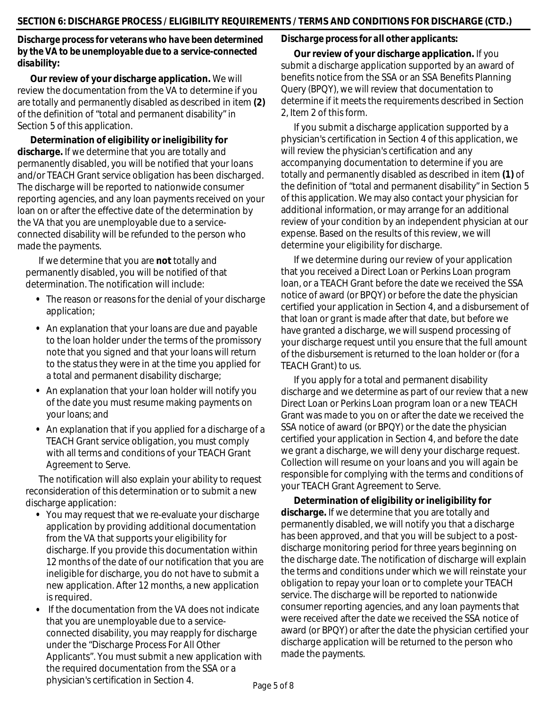## *Discharge process for veterans who have been determined by the VA to be unemployable due to a service-connected disabilit***y:**

**Our review of your discharge application.** We will review the documentation from the VA to determine if you are totally and permanently disabled as described in item **(2)** of the definition of "total and permanent disability" in Section 5 of this application.

**Determination of eligibility or ineligibility for discharge.** If we determine that you are totally and permanently disabled, you will be notified that your loans and/or TEACH Grant service obligation has been discharged. The discharge will be reported to nationwide consumer reporting agencies, and any loan payments received on your loan on or after the effective date of the determination by the VA that you are unemployable due to a serviceconnected disability will be refunded to the person who made the payments.

If we determine that you are **not** totally and permanently disabled, you will be notified of that determination. The notification will include:

- **•** The reason or reasons for the denial of your discharge application;
- **•** An explanation that your loans are due and payable to the loan holder under the terms of the promissory note that you signed and that your loans will return to the status they were in at the time you applied for a total and permanent disability discharge;
- **•** An explanation that your loan holder will notify you of the date you must resume making payments on your loans; and
- **•** An explanation that if you applied for a discharge of a TEACH Grant service obligation, you must comply with all terms and conditions of your TEACH Grant Agreement to Serve.

The notification will also explain your ability to request reconsideration of this determination or to submit a new discharge application:

- **•** You may request that we re-evaluate your discharge application by providing additional documentation from the VA that supports your eligibility for discharge. If you provide this documentation within 12 months of the date of our notification that you are ineligible for discharge, you do not have to submit a new application. After 12 months, a new application is required.
- **•** If the documentation from the VA does not indicate that you are unemployable due to a serviceconnected disability, you may reapply for discharge under the "Discharge Process For All Other Applicants". You must submit a new application with the required documentation from the SSA or a physician's certification in Section 4.

## *Discharge process for all other applicants:*

**Our review of your discharge application.** If you submit a discharge application supported by an award of benefits notice from the SSA or an SSA Benefits Planning Query (BPQY), we will review that documentation to determine if it meets the requirements described in Section 2, Item 2 of this form.

If you submit a discharge application supported by a physician's certification in Section 4 of this application, we will review the physician's certification and any accompanying documentation to determine if you are totally and permanently disabled as described in item **(1)** of the definition of "total and permanent disability" in Section 5 of this application. We may also contact your physician for additional information, or may arrange for an additional review of your condition by an independent physician at our expense. Based on the results of this review, we will determine your eligibility for discharge.

If we determine during our review of your application that you received a Direct Loan or Perkins Loan program loan, or a TEACH Grant before the date we received the SSA notice of award (or BPQY) or before the date the physician certified your application in Section 4, and a disbursement of that loan or grant is made after that date, but before we have granted a discharge, we will suspend processing of your discharge request until you ensure that the full amount of the disbursement is returned to the loan holder or (for a TEACH Grant) to us.

If you apply for a total and permanent disability discharge and we determine as part of our review that a new Direct Loan or Perkins Loan program loan or a new TEACH Grant was made to you on or after the date we received the SSA notice of award (or BPQY) or the date the physician certified your application in Section 4, and before the date we grant a discharge, we will deny your discharge request. Collection will resume on your loans and you will again be responsible for complying with the terms and conditions of your TEACH Grant Agreement to Serve.

**Determination of eligibility or ineligibility for discharge.** If we determine that you are totally and permanently disabled, we will notify you that a discharge has been approved, and that you will be subject to a postdischarge monitoring period for three years beginning on the discharge date. The notification of discharge will explain the terms and conditions under which we will reinstate your obligation to repay your loan or to complete your TEACH service. The discharge will be reported to nationwide consumer reporting agencies, and any loan payments that were received after the date we received the SSA notice of award (or BPQY) or after the date the physician certified your discharge application will be returned to the person who made the payments.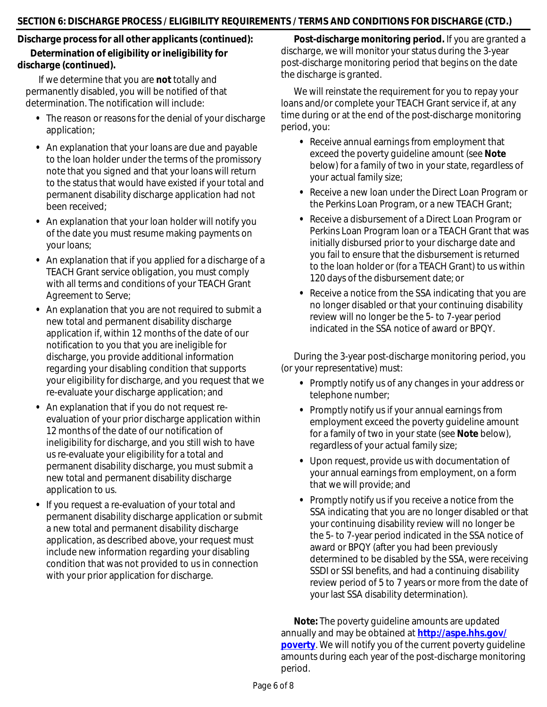## **Discharge process for all other applicants (continued): Determination of eligibility or ineligibility for discharge (continued).**

If we determine that you are **not** totally and permanently disabled, you will be notified of that determination. The notification will include:

- **•** The reason or reasons for the denial of your discharge application;
- **•** An explanation that your loans are due and payable to the loan holder under the terms of the promissory note that you signed and that your loans will return to the status that would have existed if your total and permanent disability discharge application had not been received;
- **•** An explanation that your loan holder will notify you of the date you must resume making payments on your loans;
- **•** An explanation that if you applied for a discharge of a TEACH Grant service obligation, you must comply with all terms and conditions of your TEACH Grant Agreement to Serve;
- **•** An explanation that you are not required to submit a new total and permanent disability discharge application if, within 12 months of the date of our notification to you that you are ineligible for discharge, you provide additional information regarding your disabling condition that supports your eligibility for discharge, and you request that we re-evaluate your discharge application; and
- **•** An explanation that if you do not request reevaluation of your prior discharge application within 12 months of the date of our notification of ineligibility for discharge, and you still wish to have us re-evaluate your eligibility for a total and permanent disability discharge, you must submit a new total and permanent disability discharge application to us.
- **•** If you request a re-evaluation of your total and permanent disability discharge application or submit a new total and permanent disability discharge application, as described above, your request must include new information regarding your disabling condition that was not provided to us in connection with your prior application for discharge.

**Post-discharge monitoring period.** If you are granted a discharge, we will monitor your status during the 3-year post-discharge monitoring period that begins on the date the discharge is granted.

We will reinstate the requirement for you to repay your loans and/or complete your TEACH Grant service if, at any time during or at the end of the post-discharge monitoring period, you:

- **•** Receive annual earnings from employment that exceed the poverty guideline amount (see **Note** below) for a family of two in your state, regardless of your actual family size;
- **•** Receive a new loan under the Direct Loan Program or the Perkins Loan Program, or a new TEACH Grant;
- **•** Receive a disbursement of a Direct Loan Program or Perkins Loan Program loan or a TEACH Grant that was initially disbursed prior to your discharge date and you fail to ensure that the disbursement is returned to the loan holder or (for a TEACH Grant) to us within 120 days of the disbursement date; or
- **•** Receive a notice from the SSA indicating that you are no longer disabled or that your continuing disability review will no longer be the 5- to 7-year period indicated in the SSA notice of award or BPQY.

During the 3-year post-discharge monitoring period, you (or your representative) must:

- **•** Promptly notify us of any changes in your address or telephone number;
- **•** Promptly notify us if your annual earnings from employment exceed the poverty guideline amount for a family of two in your state (see **Note** below), regardless of your actual family size;
- **•** Upon request, provide us with documentation of your annual earnings from employment, on a form that we will provide; and
- **•** Promptly notify us if you receive a notice from the SSA indicating that you are no longer disabled or that your continuing disability review will no longer be the 5- to 7-year period indicated in the SSA notice of award or BPQY (after you had been previously determined to be disabled by the SSA, were receiving SSDI or SSI benefits, and had a continuing disability review period of 5 to 7 years or more from the date of your last SSA disability determination).

**Note:** The poverty guideline amounts are updated annually and may be obtained at **[http://aspe.hhs.gov/](http://aspe.hhs.gov/poverty) [poverty](http://aspe.hhs.gov/poverty)**. We will notify you of the current poverty guideline amounts during each year of the post-discharge monitoring period.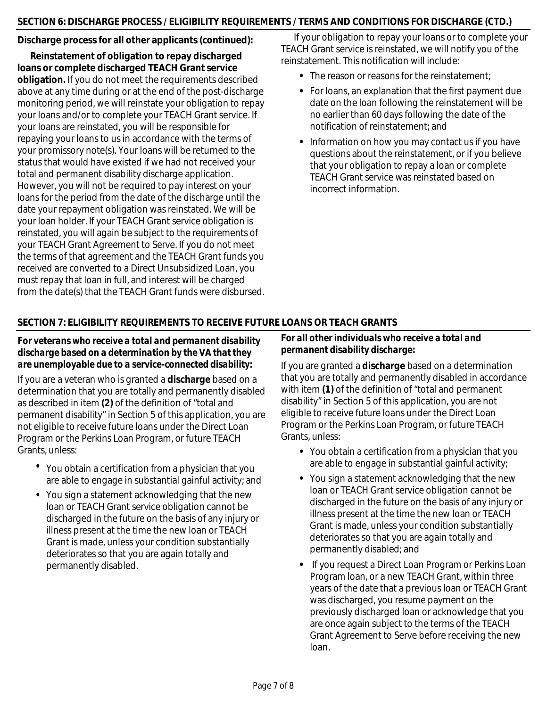## **SECTION 6: DISCHARGE PROCESS / ELIGIBILITY REQUIREMENTS / TERMS AND CONDITIONS FOR DISCHARGE (CTD.)**

## **Discharge process for all other applicants (continued):**

**Reinstatement of obligation to repay discharged loans or complete discharged TEACH Grant service obligation.** If you do not meet the requirements described above at any time during or at the end of the post-discharge monitoring period, we will reinstate your obligation to repay your loans and/or to complete your TEACH Grant service. If your loans are reinstated, you will be responsible for repaying your loans to us in accordance with the terms of your promissory note(s). Your loans will be returned to the status that would have existed if we had not received your total and permanent disability discharge application. However, you will not be required to pay interest on your loans for the period from the date of the discharge until the date your repayment obligation was reinstated. We will be your loan holder. If your TEACH Grant service obligation is reinstated, you will again be subject to the requirements of your TEACH Grant Agreement to Serve. If you do not meet the terms of that agreement and the TEACH Grant funds you received are converted to a Direct Unsubsidized Loan, you must repay that loan in full, and interest will be charged from the date(s) that the TEACH Grant funds were disbursed.

If your obligation to repay your loans or to complete your TEACH Grant service is reinstated, we will notify you of the reinstatement. This notification will include:

- **•** The reason or reasons for the reinstatement;
- **•** For loans, an explanation that the first payment due date on the loan following the reinstatement will be no earlier than 60 days following the date of the notification of reinstatement; and
- **•** Information on how you may contact us if you have questions about the reinstatement, or if you believe that your obligation to repay a loan or complete TEACH Grant service was reinstated based on incorrect information.

## **SECTION 7: ELIGIBILITY REQUIREMENTS TO RECEIVE FUTURE LOANS OR TEACH GRANTS**

## *For veterans who receive a total and permanent disability discharge based on a determination by the VA that they are unemployable due to a service-connected disability:*

If you are a veteran who is granted a **discharge** based on a determination that you are totally and permanently disabled as described in item **(2)** of the definition of "total and permanent disability" in Section 5 of this application, you are not eligible to receive future loans under the Direct Loan Program or the Perkins Loan Program, or future TEACH Grants, unless:

- **•** You obtain a certification from a physician that you are able to engage in substantial gainful activity; and
- **•** You sign a statement acknowledging that the new loan or TEACH Grant service obligation cannot be discharged in the future on the basis of any injury or illness present at the time the new loan or TEACH Grant is made, unless your condition substantially deteriorates so that you are again totally and permanently disabled.

## *For all other individuals who receive a total and permanent disability discharge:*

If you are granted a **discharge** based on a determination that you are totally and permanently disabled in accordance with item **(1)** of the definition of "total and permanent disability" in Section 5 of this application, you are not eligible to receive future loans under the Direct Loan Program or the Perkins Loan Program, or future TEACH Grants, unless:

- **•** You obtain a certification from a physician that you are able to engage in substantial gainful activity;
- **•** You sign a statement acknowledging that the new loan or TEACH Grant service obligation cannot be discharged in the future on the basis of any injury or illness present at the time the new loan or TEACH Grant is made, unless your condition substantially deteriorates so that you are again totally and permanently disabled; and
- **•** If you request a Direct Loan Program or Perkins Loan Program loan, or a new TEACH Grant, within three years of the date that a previous loan or TEACH Grant was discharged, you resume payment on the previously discharged loan or acknowledge that you are once again subject to the terms of the TEACH Grant Agreement to Serve before receiving the new loan.